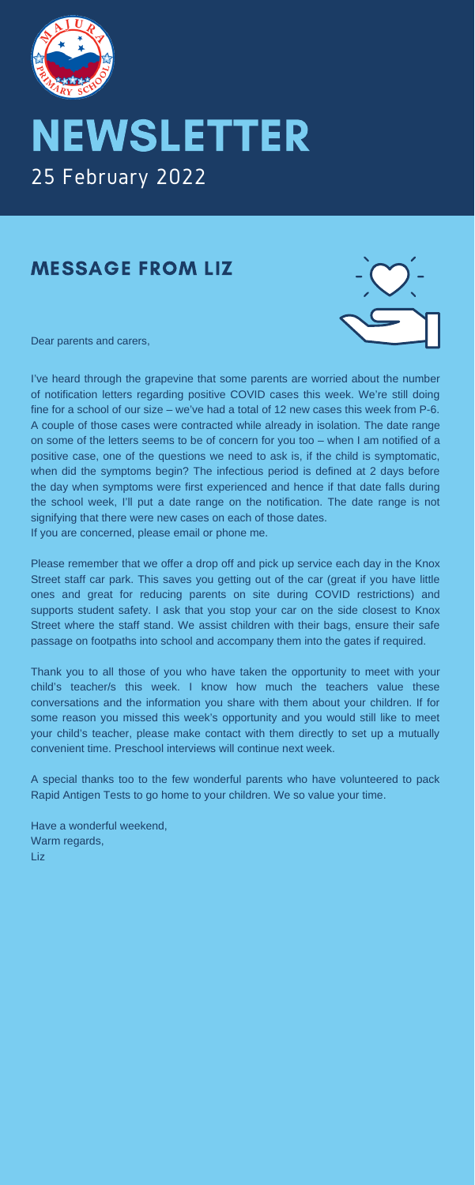

# NEWSLETTER 25 February 2022

### MESSAGE FROM LIZ

Dear parents and carers,



I've heard through the grapevine that some parents are worried about the number of notification letters regarding positive COVID cases this week. We're still doing fine for a school of our size – we've had a total of 12 new cases this week from P-6. A couple of those cases were contracted while already in isolation. The date range on some of the letters seems to be of concern for you too – when I am notified of a positive case, one of the questions we need to ask is, if the child is symptomatic, when did the symptoms begin? The infectious period is defined at 2 days before the day when symptoms were first experienced and hence if that date falls during the school week, I'll put a date range on the notification. The date range is not signifying that there were new cases on each of those dates. If you are concerned, please email or phone me.

Please remember that we offer a drop off and pick up service each day in the Knox Street staff car park. This saves you getting out of the car (great if you have little ones and great for reducing parents on site during COVID restrictions) and supports student safety. I ask that you stop your car on the side closest to Knox Street where the staff stand. We assist children with their bags, ensure their safe passage on footpaths into school and accompany them into the gates if required.

Thank you to all those of you who have taken the opportunity to meet with your child's teacher/s this week. I know how much the teachers value these conversations and the information you share with them about your children. If for some reason you missed this week's opportunity and you would still like to meet your child's teacher, please make contact with them directly to set up a mutually convenient time. Preschool interviews will continue next week.

A special thanks too to the few wonderful parents who have volunteered to pack Rapid Antigen Tests to go home to your children. We so value your time.

Have a wonderful weekend, Warm regards, Liz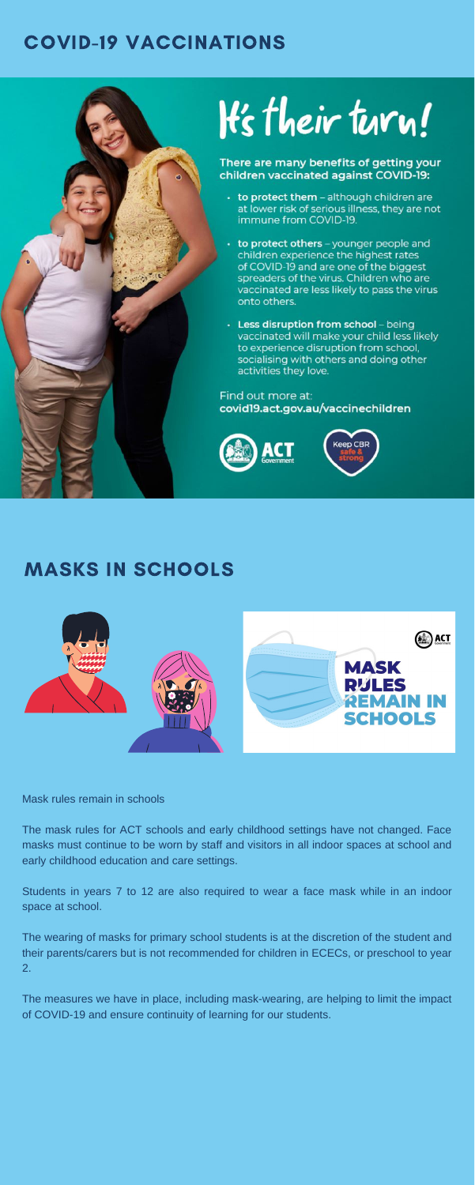# COVID-19 VACCINATIONS



There are many benefits of getting your children vaccinated against COVID-19:

- to protect them although children are at lower risk of serious illness, they are not immune from COVID-19.
- to protect others younger people and children experience the highest rates of COVID-19 and are one of the biggest spreaders of the virus. Children who are vaccinated are less likely to pass the virus onto others.
- Less disruption from school being vaccinated will make your child less likely to experience disruption from school, socialising with others and doing other activities they love.

#### Find out more at: covid 19. act.gov. au/vaccine children





# MASKS IN SCHOOLS



Mask rules remain in schools

The mask rules for ACT schools and early childhood settings have not changed. Face masks must continue to be worn by staff and visitors in all indoor spaces at school and early childhood education and care settings.

Students in years 7 to 12 are also required to wear a face mask while in an indoor space at school.

The wearing of masks for primary school students is at the discretion of the student and their parents/carers but is not recommended for children in ECECs, or preschool to year 2.

The measures we have in place, including mask-wearing, are helping to limit the impact of COVID-19 and ensure continuity of learning for our students.